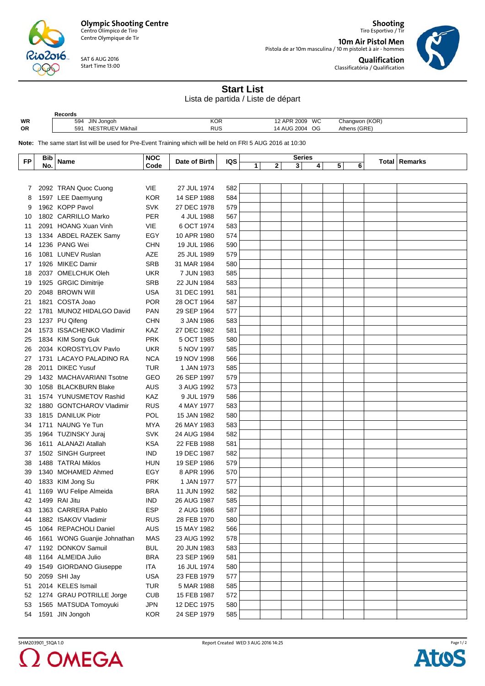**Olympic Shooting Centre** Centro Olímpico de Tiro

Centre Olympique de Tir

SAT 6 AUG 2016 Start Time 13:00

**Records**<br>594 JIN Jongoh

 $016$ 

R

**Shooting** Tiro Esportivo / Tir

**10m Air Pistol Men** Pistola de ar 10m masculina / 10 m pistolet à air - hommes **Qualification** Classificatória / Qualification



**Start List**

Lista de partida / Liste de départ

| WR<br>OR                                                                                                    | 594 JIN Jongoh<br>591 NESTRUEV Mikhail |                                      | <b>KOR</b><br><b>RUS</b> |               |     | 12 APR 2009 WC<br>14 AUG 2004 OG |   |   |               |   | Athens (GRE) | Changwon (KOR) |                      |  |
|-------------------------------------------------------------------------------------------------------------|----------------------------------------|--------------------------------------|--------------------------|---------------|-----|----------------------------------|---|---|---------------|---|--------------|----------------|----------------------|--|
| Note: The same start list will be used for Pre-Event Training which will be held on FRI 5 AUG 2016 at 10:30 |                                        |                                      |                          |               |     |                                  |   |   |               |   |              |                |                      |  |
| <b>FP</b>                                                                                                   | <b>Bib</b>                             | <b>Name</b>                          | <b>NOC</b>               | Date of Birth | IQS |                                  |   |   | <b>Series</b> |   |              |                | <b>Total Remarks</b> |  |
|                                                                                                             | No.                                    |                                      | Code                     |               |     | 1                                | 2 | 3 | 4             | 5 | 6            |                |                      |  |
|                                                                                                             |                                        |                                      |                          |               |     |                                  |   |   |               |   |              |                |                      |  |
| 7                                                                                                           |                                        | 2092 TRAN Quoc Cuong                 | <b>VIE</b>               | 27 JUL 1974   | 582 |                                  |   |   |               |   |              |                |                      |  |
| 8                                                                                                           |                                        | 1597 LEE Daemyung<br>1962 KOPP Pavol | <b>KOR</b>               | 14 SEP 1988   | 584 |                                  |   |   |               |   |              |                |                      |  |
| 9                                                                                                           |                                        |                                      | <b>SVK</b>               | 27 DEC 1978   | 579 |                                  |   |   |               |   |              |                |                      |  |
| 10                                                                                                          |                                        | 1802 CARRILLO Marko                  | <b>PER</b>               | 4 JUL 1988    | 567 |                                  |   |   |               |   |              |                |                      |  |
| 11                                                                                                          |                                        | 2091 HOANG Xuan Vinh                 | <b>VIE</b>               | 6 OCT 1974    | 583 |                                  |   |   |               |   |              |                |                      |  |
| 13                                                                                                          |                                        | 1334 ABDEL RAZEK Samy                | EGY                      | 10 APR 1980   | 574 |                                  |   |   |               |   |              |                |                      |  |
| 14                                                                                                          |                                        | 1236 PANG Wei                        | <b>CHN</b>               | 19 JUL 1986   | 590 |                                  |   |   |               |   |              |                |                      |  |
| 16                                                                                                          |                                        | 1081 LUNEV Ruslan                    | AZE                      | 25 JUL 1989   | 579 |                                  |   |   |               |   |              |                |                      |  |
| 17                                                                                                          |                                        | 1926 MIKEC Damir                     | <b>SRB</b>               | 31 MAR 1984   | 580 |                                  |   |   |               |   |              |                |                      |  |
| 18                                                                                                          |                                        | 2037 OMELCHUK Oleh                   | <b>UKR</b>               | 7 JUN 1983    | 585 |                                  |   |   |               |   |              |                |                      |  |
| 19                                                                                                          |                                        | 1925 GRGIC Dimitrije                 | <b>SRB</b>               | 22 JUN 1984   | 583 |                                  |   |   |               |   |              |                |                      |  |
| 20                                                                                                          |                                        | 2048 BROWN Will                      | <b>USA</b>               | 31 DEC 1991   | 581 |                                  |   |   |               |   |              |                |                      |  |
| 21                                                                                                          |                                        | 1821 COSTA Joao                      | <b>POR</b>               | 28 OCT 1964   | 587 |                                  |   |   |               |   |              |                |                      |  |
| 22                                                                                                          |                                        | 1781 MUNOZ HIDALGO David             | <b>PAN</b>               | 29 SEP 1964   | 577 |                                  |   |   |               |   |              |                |                      |  |
| 23                                                                                                          |                                        | 1237 PU Qifeng                       | <b>CHN</b>               | 3 JAN 1986    | 583 |                                  |   |   |               |   |              |                |                      |  |
| 24                                                                                                          |                                        | 1573 ISSACHENKO Vladimir             | KAZ                      | 27 DEC 1982   | 581 |                                  |   |   |               |   |              |                |                      |  |
| 25                                                                                                          |                                        | 1834 KIM Song Guk                    | <b>PRK</b>               | 5 OCT 1985    | 580 |                                  |   |   |               |   |              |                |                      |  |
| 26                                                                                                          |                                        | 2034 KOROSTYLOV Pavlo                | <b>UKR</b>               | 5 NOV 1997    | 585 |                                  |   |   |               |   |              |                |                      |  |
| 27                                                                                                          |                                        | 1731 LACAYO PALADINO RA              | <b>NCA</b>               | 19 NOV 1998   | 566 |                                  |   |   |               |   |              |                |                      |  |
| 28                                                                                                          |                                        | 2011 DIKEC Yusuf                     | <b>TUR</b>               | 1 JAN 1973    | 585 |                                  |   |   |               |   |              |                |                      |  |
| 29                                                                                                          |                                        | 1432 MACHAVARIANI Tsotne             | GEO                      | 26 SEP 1997   | 579 |                                  |   |   |               |   |              |                |                      |  |
| 30                                                                                                          |                                        | 1058 BLACKBURN Blake                 | AUS                      | 3 AUG 1992    | 573 |                                  |   |   |               |   |              |                |                      |  |
| 31                                                                                                          |                                        | 1574 YUNUSMETOV Rashid               | KAZ                      | 9 JUL 1979    | 586 |                                  |   |   |               |   |              |                |                      |  |
| 32                                                                                                          |                                        | 1880 GONTCHAROV Vladimir             | <b>RUS</b>               | 4 MAY 1977    | 583 |                                  |   |   |               |   |              |                |                      |  |
| 33                                                                                                          |                                        | 1815 DANILUK Piotr                   | POL                      | 15 JAN 1982   | 580 |                                  |   |   |               |   |              |                |                      |  |
| 34                                                                                                          |                                        | 1711 NAUNG Ye Tun                    | <b>MYA</b>               | 26 MAY 1983   | 583 |                                  |   |   |               |   |              |                |                      |  |
| 35                                                                                                          |                                        | 1964 TUZINSKY Juraj                  | <b>SVK</b>               | 24 AUG 1984   | 582 |                                  |   |   |               |   |              |                |                      |  |
| 36                                                                                                          |                                        | 1611 ALANAZI Atallah                 | <b>KSA</b>               | 22 FEB 1988   | 581 |                                  |   |   |               |   |              |                |                      |  |
| 37                                                                                                          |                                        | 1502 SINGH Gurpreet                  | <b>IND</b>               | 19 DEC 1987   | 582 |                                  |   |   |               |   |              |                |                      |  |
| 38                                                                                                          |                                        | 1488 TATRAI Miklos                   | HUN                      | 19 SEP 1986   | 579 |                                  |   |   |               |   |              |                |                      |  |
| 39                                                                                                          |                                        | 1340 MOHAMED Ahmed                   | EGY                      | 8 APR 1996    | 570 |                                  |   |   |               |   |              |                |                      |  |
| 40                                                                                                          |                                        | 1833 KIM Jong Su                     | <b>PRK</b>               | 1 JAN 1977    | 577 |                                  |   |   |               |   |              |                |                      |  |
| 41                                                                                                          |                                        | 1169 WU Felipe Almeida               | <b>BRA</b>               | 11 JUN 1992   | 582 |                                  |   |   |               |   |              |                |                      |  |
| 42                                                                                                          |                                        | 1499 RAI Jitu                        | <b>IND</b>               | 26 AUG 1987   | 585 |                                  |   |   |               |   |              |                |                      |  |
| 43                                                                                                          |                                        | 1363 CARRERA Pablo                   | <b>ESP</b>               | 2 AUG 1986    | 587 |                                  |   |   |               |   |              |                |                      |  |
| 44                                                                                                          |                                        | 1882 ISAKOV Vladimir                 | <b>RUS</b>               | 28 FEB 1970   | 580 |                                  |   |   |               |   |              |                |                      |  |
| 45                                                                                                          |                                        | 1064 REPACHOLI Daniel                | AUS                      | 15 MAY 1982   | 566 |                                  |   |   |               |   |              |                |                      |  |
| 46                                                                                                          |                                        | 1661 WONG Guanjie Johnathan          | <b>MAS</b>               | 23 AUG 1992   | 578 |                                  |   |   |               |   |              |                |                      |  |
| 47                                                                                                          |                                        | 1192 DONKOV Samuil                   | <b>BUL</b>               | 20 JUN 1983   | 583 |                                  |   |   |               |   |              |                |                      |  |
| 48                                                                                                          |                                        | 1164 ALMEIDA Julio                   | <b>BRA</b>               | 23 SEP 1969   | 581 |                                  |   |   |               |   |              |                |                      |  |
| 49                                                                                                          |                                        | 1549 GIORDANO Giuseppe               | ITA                      | 16 JUL 1974   | 580 |                                  |   |   |               |   |              |                |                      |  |
| 50                                                                                                          |                                        | 2059 SHI Jay                         | <b>USA</b>               | 23 FEB 1979   | 577 |                                  |   |   |               |   |              |                |                      |  |
| 51                                                                                                          |                                        | 2014 KELES Ismail                    | <b>TUR</b>               | 5 MAR 1988    | 585 |                                  |   |   |               |   |              |                |                      |  |
| 52                                                                                                          |                                        | 1274 GRAU POTRILLE Jorge             | <b>CUB</b>               | 15 FEB 1987   | 572 |                                  |   |   |               |   |              |                |                      |  |
| 53                                                                                                          |                                        | 1565 MATSUDA Tomoyuki                | <b>JPN</b>               | 12 DEC 1975   | 580 |                                  |   |   |               |   |              |                |                      |  |
| 54                                                                                                          |                                        | 1591 JIN Jongoh                      | <b>KOR</b>               | 24 SEP 1979   | 585 |                                  |   |   |               |   |              |                |                      |  |
|                                                                                                             |                                        |                                      |                          |               |     |                                  |   |   |               |   |              |                |                      |  |